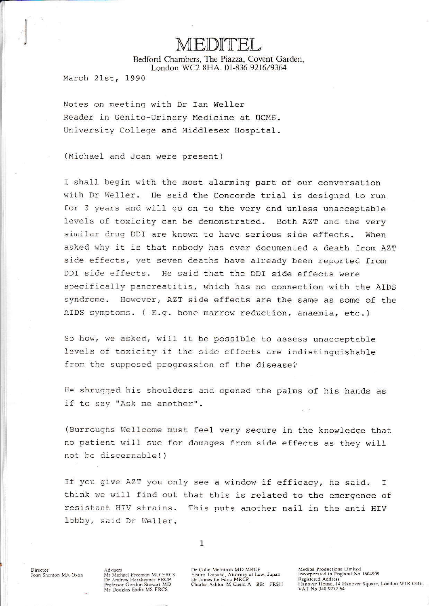Bedford Chambers, The Piazza, Covent Garden, London WC2 8HA, 01-836 9216/9364

March 21st, 1990

Notes on meeting with Dr Ian Weller Reader in Genito-Urinary Medicine at UCMS. University College and Middlesex Hospital.

(Michael and Joan were present)

I shall begin with the most alarming part of our conversation with Dr Weller. He said the Concorde trial is designed to run for 3 years and will go on to the very end unless unacceptable levels of toxicity can be demonstrated. Both AZT and the very similar drug DDI are known to have serious side effects. When asked why it is that nobody has ever documented a death from AZT side effects, yet seven deaths have already been reported from DDI side effects. He said that the DDI side effects were specifically pancreatitis, which has no connection with the AIDS However, AZT side effects are the same as some of the syndrome. AIDS symptoms. ( E.g. bone marrow reduction, anaemia, etc.)

So how, we asked, will it be possible to assess unacceptable levels of toxicity if the side effects are indistinguishable from the supposed progression of the disease?

He shrugged his shoulders and opened the palms of his hands as if to say "Ask me another".

(Burroughs Wellcome must feel very secure in the knowledge that no patient will sue for damages from side effects as they will not be discernable!)

If you give AZT you only see a window if efficacy, he said.  $\mathsf{T}$ think we will find out that this is related to the emergence of resistant HIV strains. This puts another nail in the anti HIV lobby, said Dr Weller.

 $\mathbf{1}$ 

Director Joan Shenton MA Oxon Advisers<br>Mr Michael Freeman MD FRCS<br>Dr Andrew Herxheimer FRCP<br>Professor Gordon Stewart MD Mr Douglas Eadie MS FRCS

Dr Colin McIntosh MD MRCP Etsuro Totsuka, Attorney at Law, Japan<br>Dr James Le Fanu MRCP<br>Charles Ashton M Chem A BSc FRSH Meditel Productions Limited Incorporated in England No 1604909 **Registered Address** Hanover House, 14 Hanover Square, London WIR OBE.<br>VAT No 340 9272 64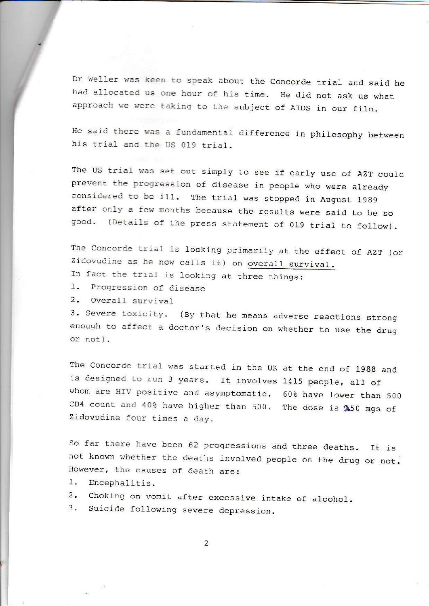Dr Weller was keen to speak about the Concorde trial and said he had allocated us one hour of his time. He did not ask us what approach we were taking to the subject of AIDS in our film.

He said there was a fundamental difference in philosophy between his trial and the US 019 trial.

The US trial was set out simply to see if early use of AZT could prevent the progression of disease in people who were already<br>considered to be ill. The trial was stopped in August 1989 after only a few months because the results were said to be so good. (Details of the press statement of 019 trial to follow).

The Concorde trial is looking primarily at the effect of AZT (or Zidovudine as he now calls it) on overall survival.

- In fact the trial is looking at three things:
- 1. Progression of disease
- 2. overall survival

3. Severe toxicity. (By that he means adverse reactions strong enough to affect a doctor's decision on whether to use the drug or not).

The Concorde trial was started in the UK at the end of 1988 and is designed to run 3 years. It involves 1415 people, all of whom are HIV positive and asymptomatic. 60% have lower than 500 CD4 count and 40% have higher than 500. The dose is \$50 mgs of Zidovudine four times a day-

So far there have been 62 progressions and three deaths. It is not known whether the deaths involved people on the drug or not. However, the causes of death are:

- 1. Encephalitis.
- 2. Choking on vomit after excessive intake of alcohol.
- 3. Suicide following severe depression.

 $\overline{2}$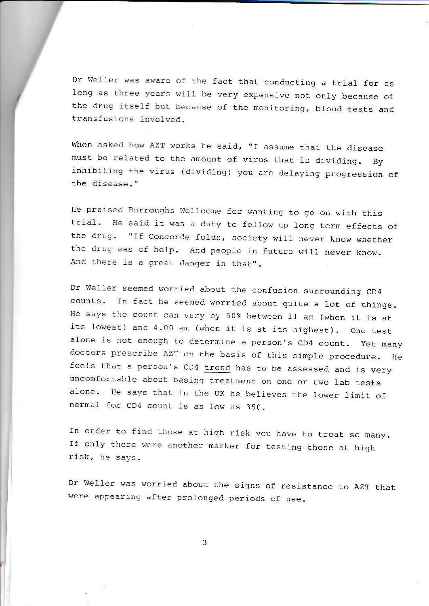Dr Weller was aware of the fact that conducting a trial for as long as three years will be very expensive not only because of the drug itself but because of the monitoring, blood tests and transfusions involved.

When asked how AZT works he said, "I assume that the disease must be related to the amount of virus that is dividing, By inhibiting the virus (dividing) you are delaying progression of<br>the disease."

He praised Burroughs Wellcome for wanting to go on with this<br>trial. He said it was a duty to follow up long term effects of the drug. "If Concorde folds, society will never know whether the drug was of help. And people in future will never know. And there is a great danger in that".

Dr Weller seemed worried about the confusion surrounding CD4 counts. In fact he seemed worried about quite a lot of things.<br>He says the count can vary by 50% between 11 am (when it is at its lowest) and 4.00 am (when it is at its highest). One test alone is not enough to determine a person's CD4 count. Yet many doctors prescribe AZT on the basis of this simple procedure. He doctors prescribe AZ? on the basis of this simple procedure. He feels that a person's CD4 trend has to be assessed and is very uncomfortable about basing treatment on one or two lab tests alone. He says that in the UK he believes the lower limit of normal for CD4 count is as low as 350.

In order to find those at high risk you have to treat so many. If only there were another marker for testing those at high risk, he says.

Dr We11er was worried about the slgns of resistance to AzT that were appearing after prolonged periods of use.

3